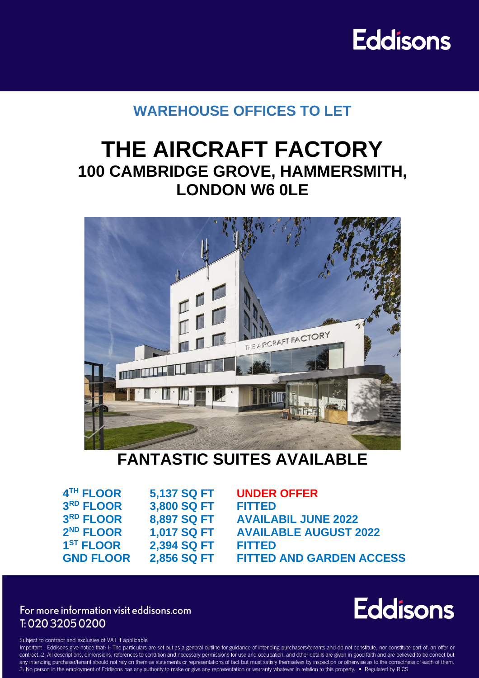# **Eddisons**

## **WAREHOUSE OFFICES TO LET**

# **THE AIRCRAFT FACTORY 100 CAMBRIDGE GROVE, HAMMERSMITH, LONDON W6 0LE**



## **FANTASTIC SUITES AVAILABLE**

| 4TH FLOOR             | 5,137 SQ F |
|-----------------------|------------|
| 3RD FLOOR             | 3,800 SQ F |
| 3RD FLOOR             | 8,897 SQ F |
| 2 <sup>ND</sup> FLOOR | 1,017 SQ F |
| 1 <sup>ST</sup> FLOOR | 2,394 SQ F |
| <b>GND FLOOR</b>      | 2,856 SQ F |

**THE UNDER OFFER RUPLE 3 RD FLOOR 8,897 SQ FT AVAILABIL JUNE 2022 ND FLOOR 1,017 SQ FT AVAILABLE AUGUST 2022 ST FLOOR 2,394 SQ FT FITTED T** FITTED AND GARDEN ACCESS

### For more information visit eddisons.com T: 020 3205 0200



Subject to contract and exclusive of VAT if applicable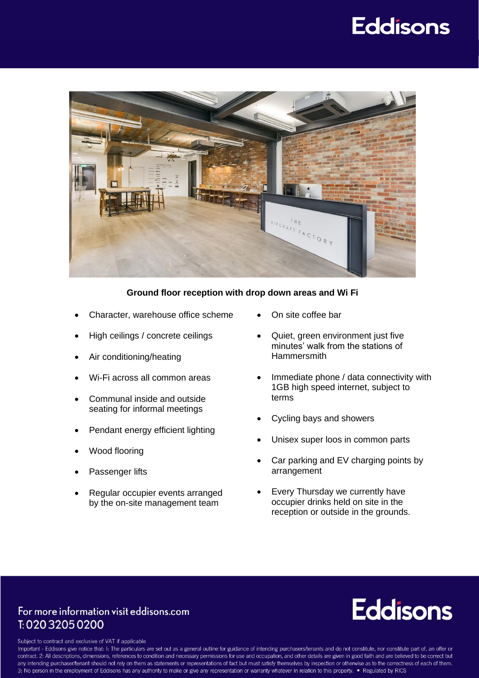# **Eddisons**



#### **Ground floor reception with drop down areas and Wi Fi**

- Character, warehouse office scheme
- High ceilings / concrete ceilings
- Air conditioning/heating
- Wi-Fi across all common areas
- Communal inside and outside seating for informal meetings
- Pendant energy efficient lighting
- Wood flooring
- Passenger lifts
- Regular occupier events arranged by the on-site management team
- On site coffee bar
- Quiet, green environment just five minutes' walk from the stations of **Hammersmith**
- Immediate phone / data connectivity with 1GB high speed internet, subject to terms
- Cycling bays and showers
- Unisex super loos in common parts
- Car parking and EV charging points by arrangement
- Every Thursday we currently have occupier drinks held on site in the reception or outside in the grounds.

### For more information visit eddisons.com T: 020 3205 0200

# **Eddisons**

Subject to contract and exclusive of VAT if applicable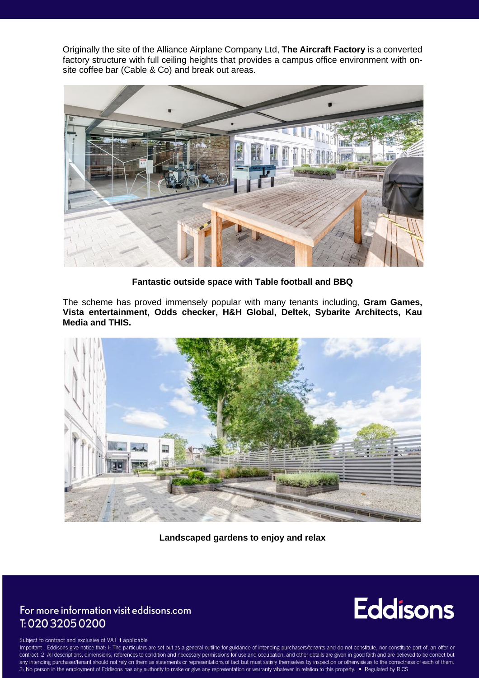Originally the site of the Alliance Airplane Company Ltd, **The Aircraft Factory** is a converted factory structure with full ceiling heights that provides a campus office environment with onsite coffee bar (Cable & Co) and break out areas.



**Fantastic outside space with Table football and BBQ**

The scheme has proved immensely popular with many tenants including, **Gram Games, Vista entertainment, Odds checker, H&H Global, Deltek, Sybarite Architects, Kau Media and THIS.** 



**Landscaped gardens to enjoy and relax**

### For more information visit eddisons.com T: 020 3205 0200

# **Eddisons**

Subject to contract and exclusive of VAT if applicable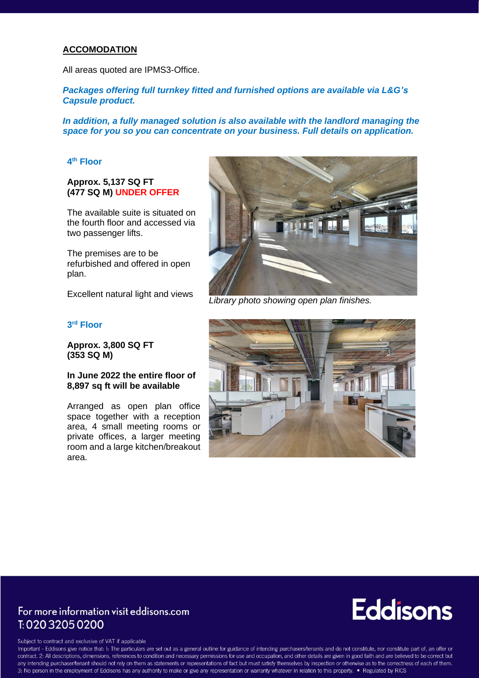#### **ACCOMODATION**

All areas quoted are IPMS3-Office.

*Packages offering full turnkey fitted and furnished options are available via L&G's Capsule product.*

*In addition, a fully managed solution is also available with the landlord managing the space for you so you can concentrate on your business. Full details on application.*

#### **4 th Floor**

#### **Approx. 5,137 SQ FT (477 SQ M) UNDER OFFER**

The available suite is situated on the fourth floor and accessed via two passenger lifts.

The premises are to be refurbished and offered in open plan.

Excellent natural light and views

#### **3 rd Floor**

**Approx. 3,800 SQ FT (353 SQ M)**

#### **In June 2022 the entire floor of 8,897 sq ft will be available**

Arranged as open plan office space together with a reception area, 4 small meeting rooms or private offices, a larger meeting room and a large kitchen/breakout area.



*Library photo showing open plan finishes.*



### For more information visit eddisons.com T: 020 3205 0200

# **Eddisons**

Subject to contract and exclusive of VAT if applicable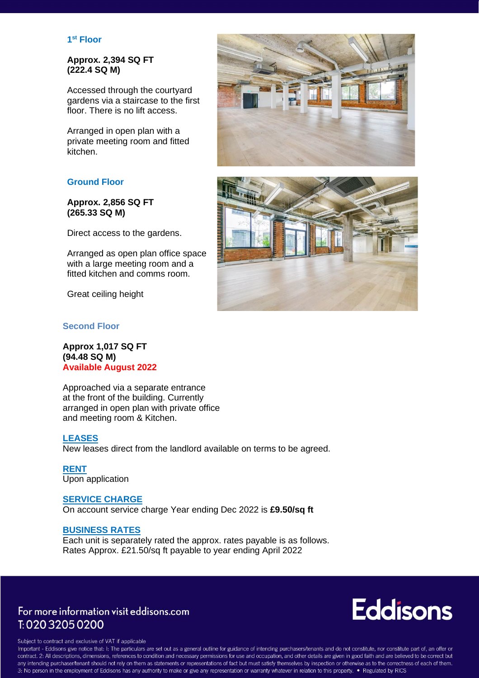#### **1 st Floor**

#### **Approx. 2,394 SQ FT (222.4 SQ M)**

Accessed through the courtyard gardens via a staircase to the first floor. There is no lift access.

Arranged in open plan with a private meeting room and fitted kitchen.

#### **Ground Floor**

**Approx. 2,856 SQ FT (265.33 SQ M)**

Direct access to the gardens.

Arranged as open plan office space with a large meeting room and a fitted kitchen and comms room.

Great ceiling height

#### **Second Floor**

**Approx 1,017 SQ FT (94.48 SQ M) Available August 2022**

Approached via a separate entrance at the front of the building. Currently arranged in open plan with private office and meeting room & Kitchen.

#### **LEASES**

New leases direct from the landlord available on terms to be agreed.

**RENT** Upon application

#### **SERVICE CHARGE** On account service charge Year ending Dec 2022 is **£9.50/sq ft**

#### **BUSINESS RATES**

Each unit is separately rated the approx. rates payable is as follows. Rates Approx. £21.50/sq ft payable to year ending April 2022

### For more information visit eddisons.com T: 020 3205 0200

**Eddisons** 

Subject to contract and exclusive of VAT if applicable